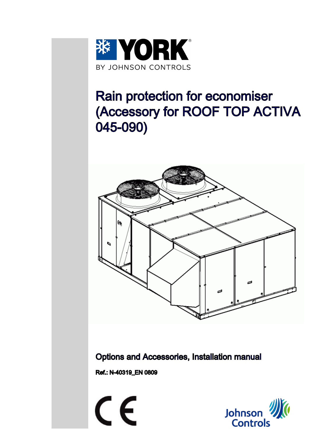

# Rain protection for economiser (Accessory for ROOF TOP ACTIVA 045-090)



Options and Accessories, Installation manual

Ref.: N-40319\_EN 0809

 $\epsilon$ 

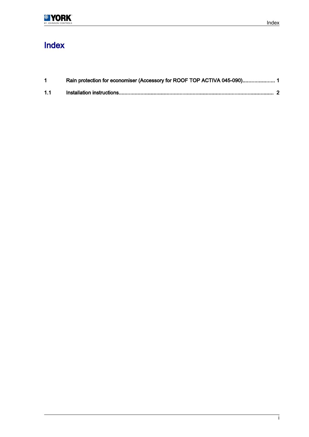### Index

| 1.1 |  |
|-----|--|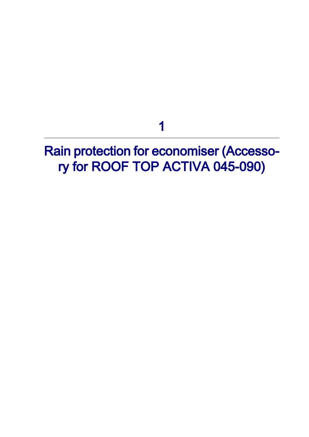1

<span id="page-2-0"></span>Rain protection for economiser (Accesso‐ ry for ROOF TOP ACTIVA 045-090)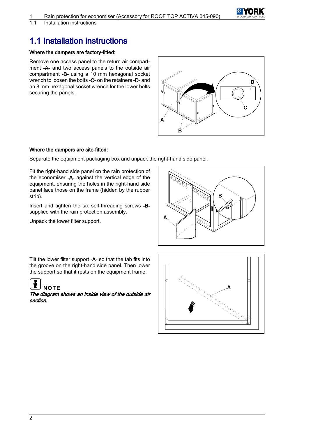

<span id="page-3-0"></span>1.1 Installation instructions

### 1.1 Installation instructions

#### Where the dampers are factory-fitted:

Remove one access panel to the return air compart‐ ment -A- and two access panels to the outside air compartment -B- using a 10 mm hexagonal socket wrench to loosen the bolts -C- on the retainers -D- and an 8 mm hexagonal socket wrench for the lower bolts securing the panels.



#### Where the dampers are site-fitted:

Separate the equipment packaging box and unpack the right-hand side panel.

Fit the right-hand side panel on the rain protection of the economiser -A- against the vertical edge of the equipment, ensuring the holes in the right-hand side panel face those on the frame (hidden by the rubber strip).

Insert and tighten the six self-threading screws -Bsupplied with the rain protection assembly.

Unpack the lower filter support.



Tilt the lower filter support -A- so that the tab fits into the groove on the right-hand side panel. Then lower the support so that it rests on the equipment frame.



The diagram shows an inside view of the outside air section.

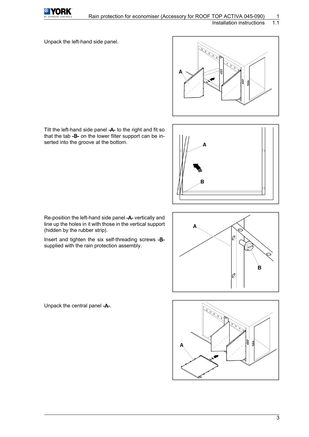

Unpack the left-hand side panel.



Tilt the left-hand side panel -A- to the right and fit so that the tab -B- on the lower filter support can be in‐ serted into the groove at the bottom.



Re-position the left-hand side panel -A- vertically and line up the holes in it with those in the vertical support (hidden by the rubber strip).

Insert and tighten the six self-threading screws -Bsupplied with the rain protection assembly.





Unpack the central panel -A-.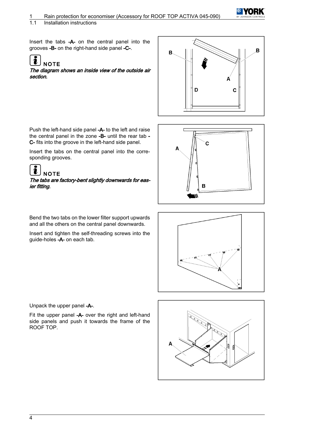1.1 Installation instructions

Insert the tabs -A- on the central panel into the grooves -B- on the right-hand side panel -C-.

## **NOTE**

The diagram shows an inside view of the outside air section.



Push the left-hand side panel -A- to the left and raise the central panel in the zone -B- until the rear tab - C- fits into the groove in the left-hand side panel.

Insert the tabs on the central panel into the corre‐ sponding grooves.

#### $\fbox{1}$ **NOTE**

The tabs are factory-bent slightly downwards for eas‐ ier fitting.



Bend the two tabs on the lower filter support upwards and all the others on the central panel downwards.

Insert and tighten the self-threading screws into the guide-holes -A- on each tab.



Unpack the upper panel -A-.

Fit the upper panel -A- over the right and left-hand side panels and push it towards the frame of the ROOF TOP.